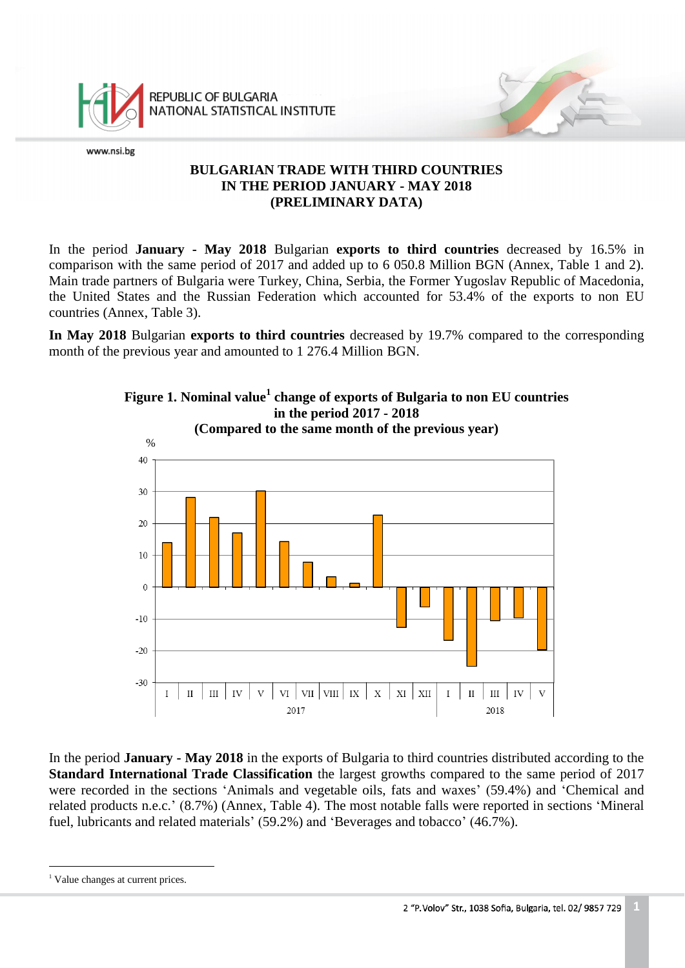

REPUBLIC OF BULGARIA **NATIONAL STATISTICAL INSTITUTE** 

www.nsi.bg

## **BULGARIAN TRADE WITH THIRD COUNTRIES IN THE PERIOD JANUARY - MAY 2018 (PRELIMINARY DATA)**

In the period **January - May 2018** Bulgarian **exports to third countries** decreased by 16.5% in comparison with the same period of 2017 and added up to 6 050.8 Million BGN (Annex, Table 1 and 2). Main trade partners of Bulgaria were Turkey, China, Serbia, the Former Yugoslav Republic of Macedonia, the United States and the Russian Federation which accounted for 53.4% of the exports to non EU countries (Annex, Table 3).

**In May 2018** Bulgarian **exports to third countries** decreased by 19.7% compared to the corresponding month of the previous year and amounted to 1 276.4 Million BGN.



In the period **January - May 2018** in the exports of Bulgaria to third countries distributed according to the **Standard International Trade Classification** the largest growths compared to the same period of 2017 were recorded in the sections 'Animals and vegetable oils, fats and waxes' (59.4%) and 'Chemical and related products n.e.c.' (8.7%) (Annex, Table 4). The most notable falls were reported in sections 'Mineral fuel, lubricants and related materials' (59.2%) and 'Beverages and tobacco' (46.7%).

<sup>&</sup>lt;sup>1</sup> Value changes at current prices.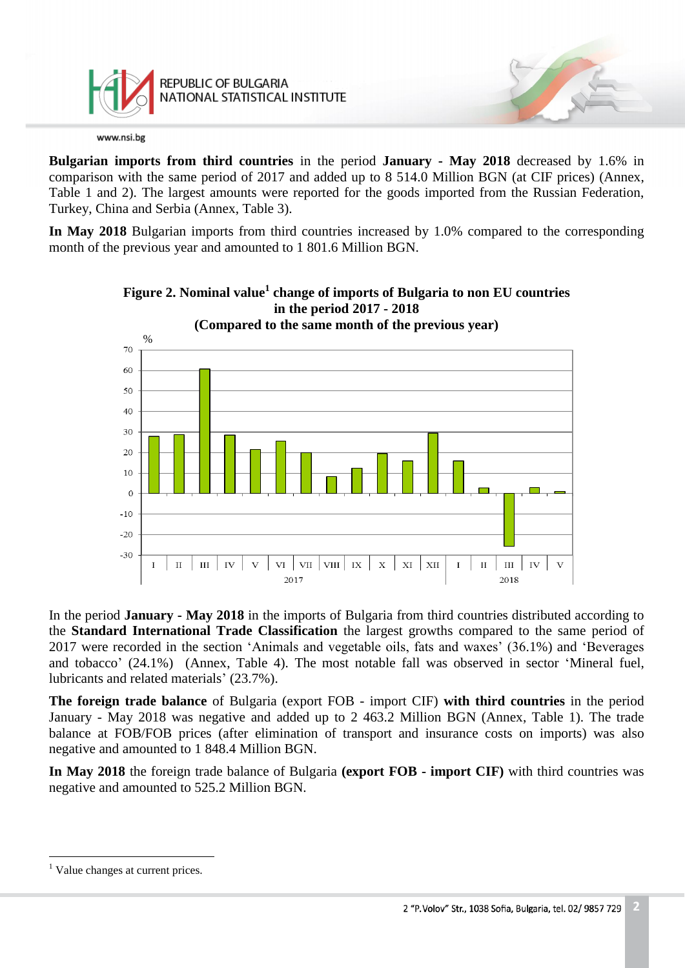

REPUBLIC OF BULGARIA NATIONAL STATISTICAL INSTITUTE

www.nsi.bg

**Bulgarian imports from third countries** in the period **January - May 2018** decreased by 1.6% in comparison with the same period of 2017 and added up to 8 514.0 Million BGN (at CIF prices) (Annex, Table 1 and 2). The largest amounts were reported for the goods imported from the Russian Federation, Turkey, China and Serbia (Annex, Table 3).

**In May 2018** Bulgarian imports from third countries increased by 1.0% compared to the corresponding month of the previous year and amounted to 1 801.6 Million BGN.



**Figure 2. Nominal value<sup>1</sup> change of imports of Bulgaria to non EU countries in the period 2017 - 2018**

In the period **January - May 2018** in the imports of Bulgaria from third countries distributed according to the **Standard International Trade Classification** the largest growths compared to the same period of 2017 were recorded in the section 'Animals and vegetable oils, fats and waxes' (36.1%) and 'Beverages and tobacco' (24.1%) (Annex, Table 4). The most notable fall was observed in sector 'Mineral fuel, lubricants and related materials' (23.7%).

**The foreign trade balance** of Bulgaria (export FOB - import CIF) **with third countries** in the period January - May 2018 was negative and added up to 2 463.2 Million BGN (Annex, Table 1). The trade balance at FOB/FOB prices (after elimination of transport and insurance costs on imports) was also negative and amounted to 1 848.4 Million BGN.

**In May 2018** the foreign trade balance of Bulgaria **(export FOB - import CIF)** with third countries was negative and amounted to 525.2 Million BGN.

 $<sup>1</sup>$  Value changes at current prices.</sup>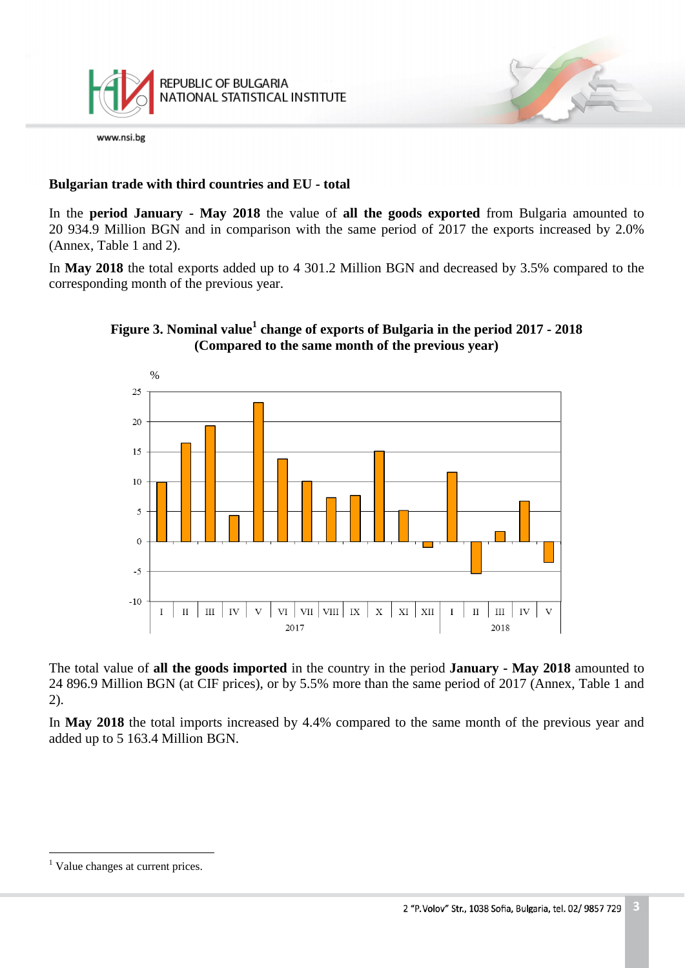

# **Bulgarian trade with third countries and EU - total**

In the **period January - May 2018** the value of **all the goods exported** from Bulgaria amounted to 20 934.9 Million BGN and in comparison with the same period of 2017 the exports increased by 2.0% (Annex, Table 1 and 2).

In **May 2018** the total exports added up to 4 301.2 Million BGN and decreased by 3.5% compared to the corresponding month of the previous year.



## **Figure 3. Nominal value<sup>1</sup> change of exports of Bulgaria in the period 2017 - 2018 (Compared to the same month of the previous year)**

The total value of **all the goods imported** in the country in the period **January - May 2018** amounted to 24 896.9 Million BGN (at CIF prices), or by 5.5% more than the same period of 2017 (Annex, Table 1 and 2).

In **May 2018** the total imports increased by 4.4% compared to the same month of the previous year and added up to 5 163.4 Million BGN.

<sup>&</sup>lt;sup>1</sup> Value changes at current prices.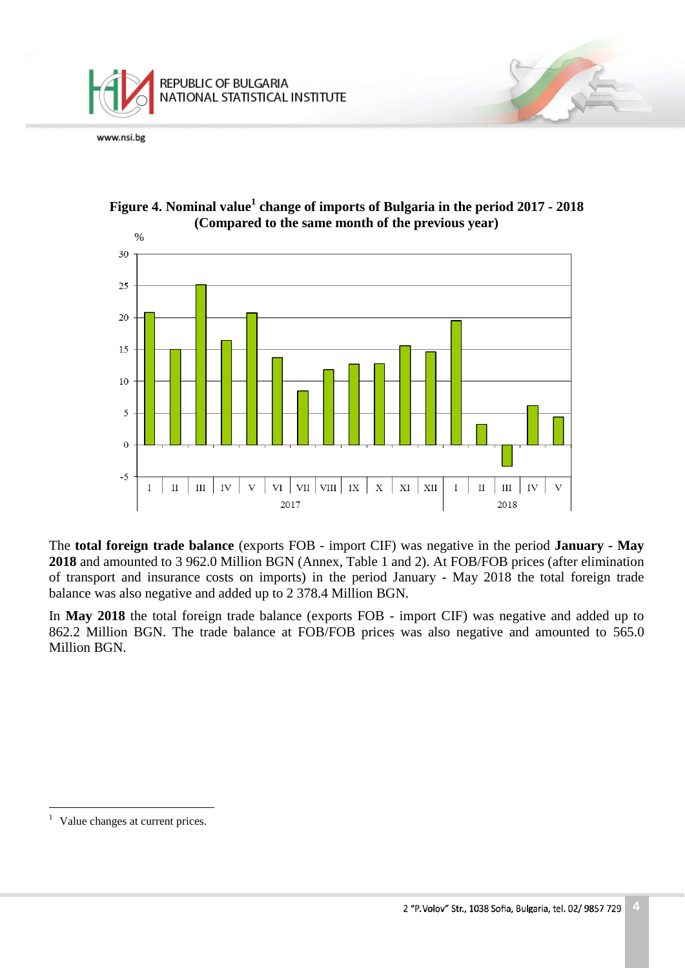





The **total foreign trade balance** (exports FOB - import CIF) was negative in the period **January - May 2018** and amounted to 3 962.0 Million BGN (Annex, Table 1 and 2). At FOB/FOB prices (after elimination of transport and insurance costs on imports) in the period January - May 2018 the total foreign trade balance was also negative and added up to 2 378.4 Million BGN.

In **May 2018** the total foreign trade balance (exports FOB - import CIF) was negative and added up to 862.2 Million BGN. The trade balance at FOB/FOB prices was also negative and amounted to 565.0 Million BGN.

 $<sup>1</sup>$  Value changes at current prices.</sup>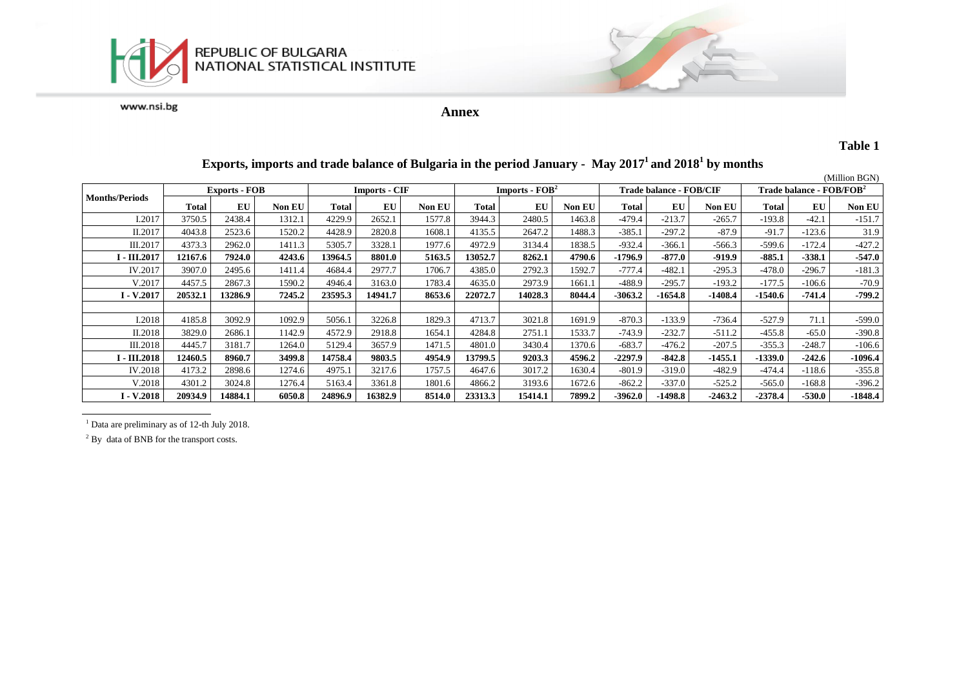

**Annex**

### **Table 1**

|                       |                      |         |               |                      |           |               |                                    |         |               |                                |           |               |                                            |          | (Million BGN) |
|-----------------------|----------------------|---------|---------------|----------------------|-----------|---------------|------------------------------------|---------|---------------|--------------------------------|-----------|---------------|--------------------------------------------|----------|---------------|
|                       | <b>Exports - FOB</b> |         |               | <b>Imports - CIF</b> |           |               | <b>Imports - <math>FOB2</math></b> |         |               | <b>Trade balance - FOB/CIF</b> |           |               | <b>Trade balance - FOB/FOB<sup>2</sup></b> |          |               |
| <b>Months/Periods</b> | <b>Total</b>         | EU      | <b>Non EU</b> | <b>Total</b>         | <b>EU</b> | <b>Non EU</b> | Total                              | EU      | <b>Non EU</b> | Total                          | EU        | <b>Non EU</b> | Total                                      | EU       | <b>Non EU</b> |
| I.2017                | 3750.5               | 2438.4  | 1312.1        | 4229.9               | 2652.1    | 1577.8        | 3944.3                             | 2480.5  | 1463.8        | $-479.4$                       | $-213.7$  | $-265.7$      | $-193.8$                                   | $-42.1$  | $-151.7$      |
| II.2017               | 4043.8               | 2523.6  | 1520.2        | 4428.9               | 2820.8    | 1608.1        | 4135.5                             | 2647.2  | 1488.3        | $-385.1$                       | $-297.2$  | $-87.9$       | $-91.7$                                    | $-123.6$ | 31.9          |
| III.2017              | 4373.3               | 2962.0  | 1411.3        | 5305.7               | 3328.1    | 1977.6        | 4972.9                             | 3134.4  | 1838.5        | $-932.4$                       | $-366.1$  | -566.3        | $-599.6$                                   | $-172.4$ | $-427.2$      |
| I - III.2017          | 12167.6              | 7924.0  | 4243.6        | 13964.5              | 8801.0    | 5163.5        | 13052.7                            | 8262.1  | 4790.6        | -1796.9                        | $-877.0$  | $-919.9$      | $-885.1$                                   | $-338.1$ | $-547.0$      |
| IV.2017               | 3907.0               | 2495.6  | 1411.4        | 4684.4               | 2977.7    | 1706.7        | 4385.0                             | 2792.3  | 1592.7        | $-777.4$                       | $-482.1$  | $-295.3$      | $-478.0$                                   | $-296.7$ | $-181.3$      |
| V.2017                | 4457.5               | 2867.3  | 1590.2        | 4946.4               | 3163.0    | 1783.4        | 4635.0                             | 2973.9  | 1661.1        | $-488.9$                       | $-295.7$  | $-193.2$      | $-177.5$                                   | -106.6   | $-70.9$       |
| I - V.2017            | 20532.1              | 13286.9 | 7245.2        | 23595.3              | 14941.7   | 8653.6        | 22072.7                            | 14028.3 | 8044.4        | $-3063.2$                      | $-1654.8$ | $-1408.4$     | $-1540.6$                                  | $-741.4$ | $-799.2$      |
|                       |                      |         |               |                      |           |               |                                    |         |               |                                |           |               |                                            |          |               |
| I.2018                | 4185.8               | 3092.9  | 1092.9        | 5056.1               | 3226.8    | 1829.3        | 4713.7                             | 3021.8  | 1691.9        | $-870.3$                       | $-133.9$  | $-736.4$      | $-527.9$                                   | 71.1     | $-599.0$      |
| II.2018               | 3829.0               | 2686.1  | 1142.9        | 4572.9               | 2918.8    | 1654.1        | 4284.8                             | 2751.1  | 1533.7        | $-743.9$                       | $-232.7$  | $-511.2$      | $-455.8$                                   | $-65.0$  | $-390.8$      |
| III.2018              | 4445.7               | 3181.7  | 1264.0        | 5129.4               | 3657.9    | 1471.5        | 4801.0                             | 3430.4  | 1370.6        | $-683.7$                       | $-476.2$  | $-207.5$      | $-355.3$                                   | $-248.7$ | $-106.6$      |
| <b>I - III.2018</b>   | 12460.5              | 8960.7  | 3499.8        | 14758.4              | 9803.5    | 4954.9        | 13799.5                            | 9203.3  | 4596.2        | -2297.9                        | $-842.8$  | $-1455.1$     | $-1339.0$                                  | $-242.6$ | $-1096.4$     |
| IV.2018               | 4173.2               | 2898.6  | 1274.6        | 4975.1               | 3217.6    | 1757.5        | 4647.6                             | 3017.2  | 1630.4        | $-801.9$                       | $-319.0$  | $-482.9$      | $-474.4$                                   | $-118.6$ | $-355.8$      |
| V.2018                | 4301.2               | 3024.8  | 1276.4        | 5163.4               | 3361.8    | 1801.6        | 4866.2                             | 3193.6  | 1672.6        | $-862.2$                       | $-337.0$  | $-525.2$      | $-565.0$                                   | $-168.8$ | $-396.2$      |
| I - V.2018            | 20934.9              | 14884.1 | 6050.8        | 24896.9              | 16382.9   | 8514.0        | 23313.3                            | 15414.1 | 7899.2        | -3962.0                        | -1498.8   | $-2463.2$     | $-2378.4$                                  | -530.0   | -1848.4       |

### **Exports, imports and trade balance of Bulgaria in the period January - May 2017<sup>1</sup>and 2018<sup>1</sup> by months**

<sup>1</sup> Data are preliminary as of 12-th July 2018.

<sup>2</sup> By data of BNB for the transport costs.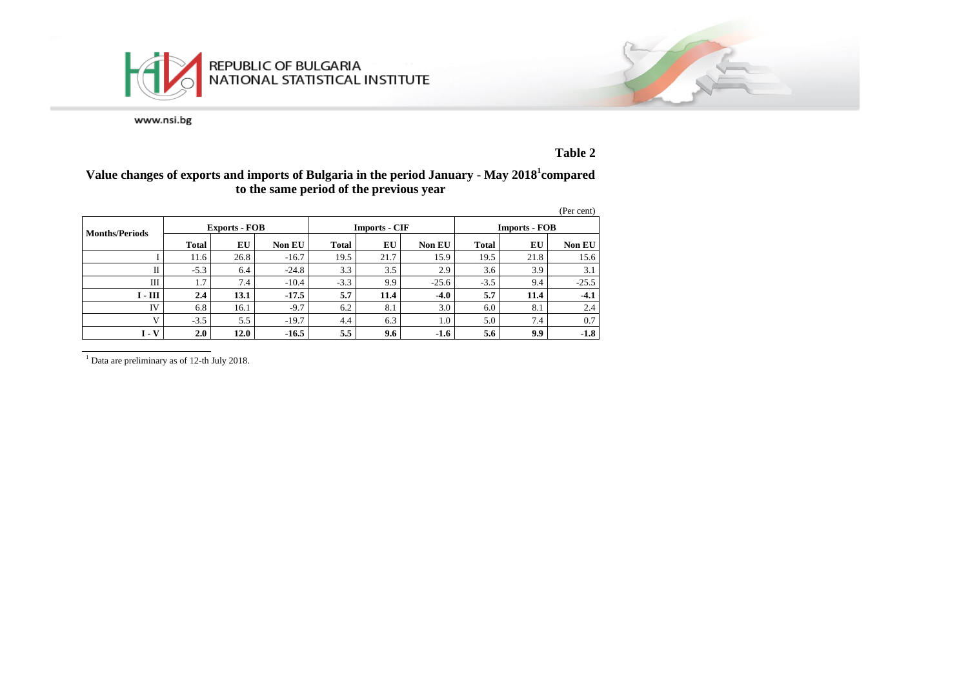



## **Table 2**

### **Value changes of exports and imports of Bulgaria in the period January - May 2018<sup>1</sup> compared to the same period of the previous year**

|                       |              |                      |               |              |                      |               |                      |      | (Per cent) |  |
|-----------------------|--------------|----------------------|---------------|--------------|----------------------|---------------|----------------------|------|------------|--|
| <b>Months/Periods</b> |              | <b>Exports - FOB</b> |               |              | <b>Imports - CIF</b> |               | <b>Imports - FOB</b> |      |            |  |
|                       | <b>Total</b> | EU                   | <b>Non EU</b> | <b>Total</b> | EU                   | <b>Non EU</b> | Total                | EU   | Non EU     |  |
|                       | 11.6         | 26.8                 | $-16.7$       | 19.5         | 21.7                 | 15.9          | 19.5                 | 21.8 | 15.6       |  |
| П                     | $-5.3$       | 6.4                  | $-24.8$       | 3.3          | 3.5                  | 2.9           | 3.6                  | 3.9  | 3.1        |  |
| Ш                     | 1.7          | 7.4                  | $-10.4$       | $-3.3$       | 9.9                  | $-25.6$       | $-3.5$               | 9.4  | $-25.5$    |  |
| $I - III$             | 2.4          | 13.1                 | $-17.5$       | 5.7          | 11.4                 | $-4.0$        | 5.7                  | 11.4 | $-4.1$     |  |
| <b>IV</b>             | 6.8          | 16.1                 | $-9.7$        | 6.2          | 8.1                  | 3.0           | 6.0                  | 8.1  | 2.4        |  |
| $\mathbf{V}$          | $-3.5$       | 5.5                  | $-19.7$       | 4.4          | 6.3                  | 1.0           | 5.0                  | 7.4  | 0.7        |  |
| $I - V$               | 2.0          | 12.0                 | $-16.5$       | 5.5          | 9.6                  | $-1.6$        | 5.6                  | 9.9  | $-1.8$     |  |

<sup>1</sup> Data are preliminary as of 12-th July 2018.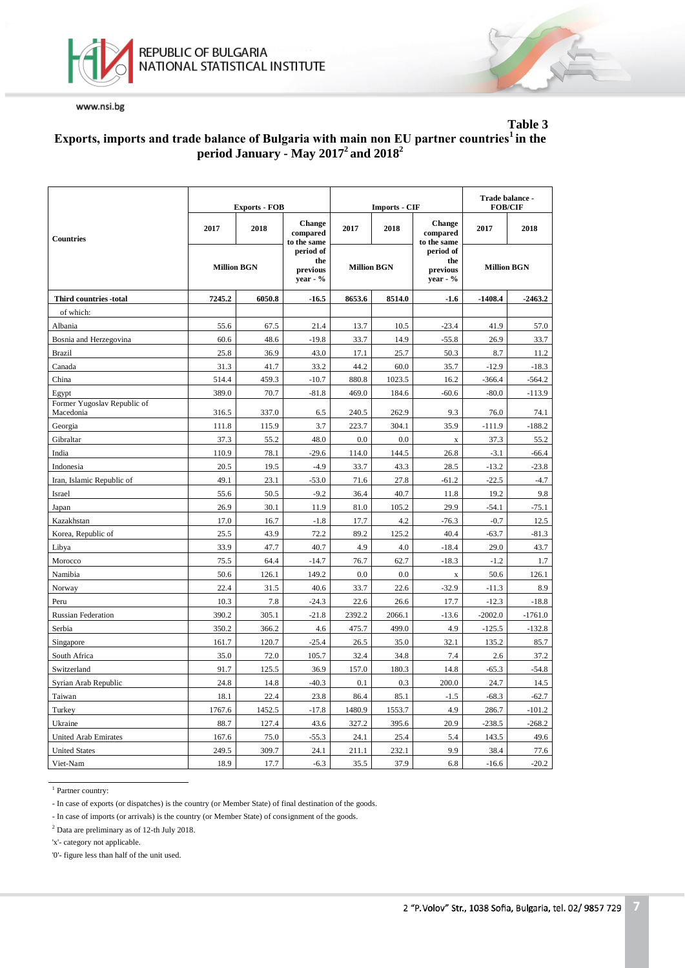



### **Table 3 Еxports, imports and trade balance of Bulgaria with main non EU partner countries<sup>1</sup>in the period January - May 2017<sup>2</sup>and 2018<sup>2</sup>**

|                                          |                    | <b>Exports - FOB</b> |                                          |                    | <b>Imports - CIF</b> | Trade balance -<br><b>FOB/CIF</b>          |                    |           |
|------------------------------------------|--------------------|----------------------|------------------------------------------|--------------------|----------------------|--------------------------------------------|--------------------|-----------|
| <b>Countries</b>                         | 2017               | 2018                 | <b>Change</b><br>compared<br>to the same | 2017               | 2018                 | <b>Change</b><br>compared<br>to the same   | 2017               | 2018      |
|                                          | <b>Million BGN</b> |                      | period of<br>the<br>previous<br>year - % | <b>Million BGN</b> |                      | period of<br>the<br>previous<br>$year - %$ | <b>Million BGN</b> |           |
| Third countries -total                   | 7245.2             | 6050.8               | $-16.5$                                  | 8653.6             | 8514.0               | $-1.6$                                     | $-1408.4$          | $-2463.2$ |
| of which:                                |                    |                      |                                          |                    |                      |                                            |                    |           |
| Albania                                  | 55.6               | 67.5                 | 21.4                                     | 13.7               | 10.5                 | $-23.4$                                    | 41.9               | 57.0      |
| Bosnia and Herzegovina                   | 60.6               | 48.6                 | $-19.8$                                  | 33.7               | 14.9                 | $-55.8$                                    | 26.9               | 33.7      |
| <b>Brazil</b>                            | 25.8               | 36.9                 | 43.0                                     | 17.1               | 25.7                 | 50.3                                       | 8.7                | 11.2      |
| Canada                                   | 31.3               | 41.7                 | 33.2                                     | 44.2               | 60.0                 | 35.7                                       | $-12.9$            | $-18.3$   |
| China                                    | 514.4              | 459.3                | $-10.7$                                  | 880.8              | 1023.5               | 16.2                                       | -366.4             | -564.2    |
| Egypt                                    | 389.0              | 70.7                 | $-81.8$                                  | 469.0              | 184.6                | $-60.6$                                    | $-80.0$            | $-113.9$  |
| Former Yugoslav Republic of<br>Macedonia | 316.5              | 337.0                | 6.5                                      | 240.5              | 262.9                | 9.3                                        | 76.0               | 74.1      |
| Georgia                                  | 111.8              | 115.9                | 3.7                                      | 223.7              | 304.1                | 35.9                                       | $-111.9$           | $-188.2$  |
| Gibraltar                                | 37.3               | 55.2                 | 48.0                                     | 0.0                | 0.0                  | $\mathbf x$                                | 37.3               | 55.2      |
| India                                    | 110.9              | 78.1                 | $-29.6$                                  | 114.0              | 144.5                | 26.8                                       | $-3.1$             | $-66.4$   |
| Indonesia                                | 20.5               | 19.5                 | $-4.9$                                   | 33.7               | 43.3                 | 28.5                                       | $-13.2$            | $-23.8$   |
| Iran, Islamic Republic of                | 49.1               | 23.1                 | $-53.0$                                  | 71.6               | 27.8                 | $-61.2$                                    | $-22.5$            | $-4.7$    |
| Israel                                   | 55.6               | 50.5                 | $-9.2$                                   | 36.4               | 40.7                 | 11.8                                       | 19.2               | 9.8       |
| Japan                                    | 26.9               | 30.1                 | 11.9                                     | 81.0               | 105.2                | 29.9                                       | $-54.1$            | $-75.1$   |
| Kazakhstan                               | 17.0               | 16.7                 | $-1.8$                                   | 17.7               | 4.2                  | $-76.3$                                    | $-0.7$             | 12.5      |
| Korea, Republic of                       | 25.5               | 43.9                 | 72.2                                     | 89.2               | 125.2                | 40.4                                       | $-63.7$            | $-81.3$   |
| Libya                                    | 33.9               | 47.7                 | 40.7                                     | 4.9                | 4.0                  | $-18.4$                                    | 29.0               | 43.7      |
| Morocco                                  | 75.5               | 64.4                 | $-14.7$                                  | 76.7               | 62.7                 | $-18.3$                                    | $-1.2$             | 1.7       |
| Namibia                                  | 50.6               | 126.1                | 149.2                                    | 0.0                | 0.0                  | $\mathbf X$                                | 50.6               | 126.1     |
| Norway                                   | 22.4               | 31.5                 | 40.6                                     | 33.7               | 22.6                 | $-32.9$                                    | $-11.3$            | 8.9       |
| Peru                                     | 10.3               | 7.8                  | $-24.3$                                  | 22.6               | 26.6                 | 17.7                                       | $-12.3$            | $-18.8$   |
| <b>Russian Federation</b>                | 390.2              | 305.1                | $-21.8$                                  | 2392.2             | 2066.1               | $-13.6$                                    | $-2002.0$          | $-1761.0$ |
| Serbia                                   | 350.2              | 366.2                | 4.6                                      | 475.7              | 499.0                | 4.9                                        | $-125.5$           | $-132.8$  |
| Singapore                                | 161.7              | 120.7                | $-25.4$                                  | 26.5               | 35.0                 | 32.1                                       | 135.2              | 85.7      |
| South Africa                             | 35.0               | 72.0                 | 105.7                                    | 32.4               | 34.8                 | 7.4                                        | 2.6                | 37.2      |
| Switzerland                              | 91.7               | 125.5                | 36.9                                     | 157.0              | 180.3                | 14.8                                       | $-65.3$            | $-54.8$   |
| Syrian Arab Republic                     | 24.8               | 14.8                 | $-40.3$                                  | 0.1                | 0.3                  | 200.0                                      | 24.7               | 14.5      |
| Taiwan                                   | 18.1               | 22.4                 | 23.8                                     | 86.4               | 85.1                 | $-1.5$                                     | $-68.3$            | $-62.7$   |
| Turkey                                   | 1767.6             | 1452.5               | $-17.8$                                  | 1480.9             | 1553.7               | 4.9                                        | 286.7              | $-101.2$  |
| Ukraine                                  | 88.7               | 127.4                | 43.6                                     | 327.2              | 395.6                | 20.9                                       | $-238.5$           | $-268.2$  |
| <b>United Arab Emirates</b>              | 167.6              | 75.0                 | $-55.3$                                  | 24.1               | 25.4                 | 5.4                                        | 143.5              | 49.6      |
| <b>United States</b>                     | 249.5              | 309.7                | 24.1                                     | 211.1              | 232.1                | 9.9                                        | 38.4               | 77.6      |
| Viet-Nam                                 | 18.9               | 17.7                 | $-6.3$                                   | 35.5               | 37.9                 | 6.8                                        | $-16.6$            | $-20.2$   |

<sup>1</sup> Partner country:

- In case of exports (or dispatches) is the country (or Member State) of final destination of the goods.

- In case of imports (or arrivals) is the country (or Member State) of consignment of the goods.

<sup>2</sup> Data are preliminary as of 12-th July 2018.

'x'- category not applicable.

'0'- figure less than half of the unit used.